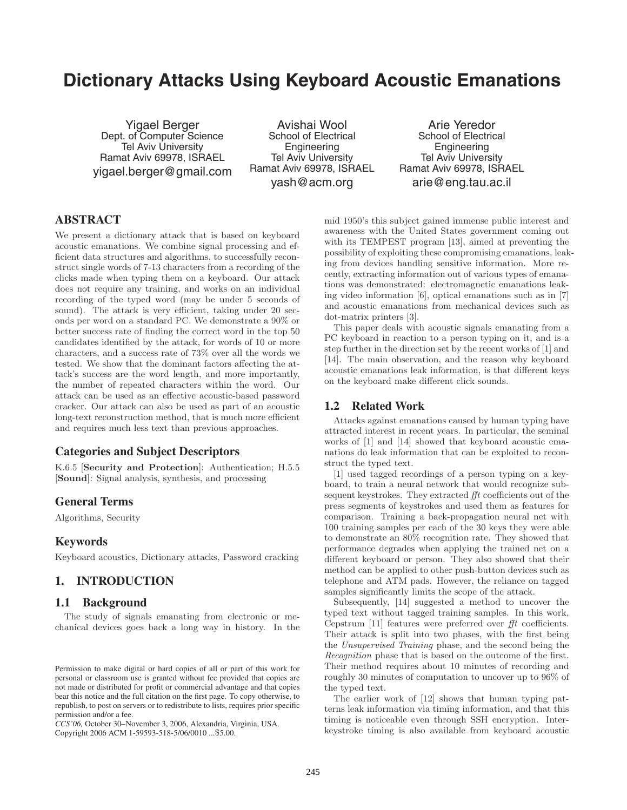# **Dictionary Attacks Using Keyboard Acoustic Emanations**

Yigael Berger Dept. of Computer Science Tel Aviv University Ramat Aviv 69978, ISRAEL yigael.berger@gmail.com

Avishai Wool School of Electrical Engineering Tel Aviv University Ramat Aviv 69978, ISRAEL yash@acm.org

Arie Yeredor School of Electrical Engineering Tel Aviv University Ramat Aviv 69978, ISRAEL arie@eng.tau.ac.il

# **ABSTRACT**

We present a dictionary attack that is based on keyboard acoustic emanations. We combine signal processing and efficient data structures and algorithms, to successfully reconstruct single words of 7-13 characters from a recording of the clicks made when typing them on a keyboard. Our attack does not require any training, and works on an individual recording of the typed word (may be under 5 seconds of sound). The attack is very efficient, taking under 20 seconds per word on a standard PC. We demonstrate a 90% or better success rate of finding the correct word in the top 50 candidates identified by the attack, for words of 10 or more characters, and a success rate of 73% over all the words we tested. We show that the dominant factors affecting the attack's success are the word length, and more importantly, the number of repeated characters within the word. Our attack can be used as an effective acoustic-based password cracker. Our attack can also be used as part of an acoustic long-text reconstruction method, that is much more efficient and requires much less text than previous approaches.

# **Categories and Subject Descriptors**

K.6.5 [**Security and Protection**]: Authentication; H.5.5 [**Sound**]: Signal analysis, synthesis, and processing

# **General Terms**

Algorithms, Security

#### **Keywords**

Keyboard acoustics, Dictionary attacks, Password cracking

# **1. INTRODUCTION**

### **1.1 Background**

The study of signals emanating from electronic or mechanical devices goes back a long way in history. In the

*CCS'06,* October 30–November 3, 2006, Alexandria, Virginia, USA. Copyright 2006 ACM 1-59593-518-5/06/0010 ...\$5.00.

mid 1950's this subject gained immense public interest and awareness with the United States government coming out with its TEMPEST program [13], aimed at preventing the possibility of exploiting these compromising emanations, leaking from devices handling sensitive information. More recently, extracting information out of various types of emanations was demonstrated: electromagnetic emanations leaking video information [6], optical emanations such as in [7] and acoustic emanations from mechanical devices such as dot-matrix printers [3].

This paper deals with acoustic signals emanating from a PC keyboard in reaction to a person typing on it, and is a step further in the direction set by the recent works of [1] and [14]. The main observation, and the reason why keyboard acoustic emanations leak information, is that different keys on the keyboard make different click sounds.

#### **1.2 Related Work**

Attacks against emanations caused by human typing have attracted interest in recent years. In particular, the seminal works of [1] and [14] showed that keyboard acoustic emanations do leak information that can be exploited to reconstruct the typed text.

[1] used tagged recordings of a person typing on a keyboard, to train a neural network that would recognize subsequent keystrokes. They extracted fft coefficients out of the press segments of keystrokes and used them as features for comparison. Training a back-propagation neural net with 100 training samples per each of the 30 keys they were able to demonstrate an 80% recognition rate. They showed that performance degrades when applying the trained net on a different keyboard or person. They also showed that their method can be applied to other push-button devices such as telephone and ATM pads. However, the reliance on tagged samples significantly limits the scope of the attack.

Subsequently, [14] suggested a method to uncover the typed text without tagged training samples. In this work, Cepstrum [11] features were preferred over fft coefficients. Their attack is split into two phases, with the first being the Unsupervised Training phase, and the second being the Recognition phase that is based on the outcome of the first. Their method requires about 10 minutes of recording and roughly 30 minutes of computation to uncover up to 96% of the typed text.

The earlier work of [12] shows that human typing patterns leak information via timing information, and that this timing is noticeable even through SSH encryption. Interkeystroke timing is also available from keyboard acoustic

Permission to make digital or hard copies of all or part of this work for personal or classroom use is granted without fee provided that copies are not made or distributed for profit or commercial advantage and that copies bear this notice and the full citation on the first page. To copy otherwise, to republish, to post on servers or to redistribute to lists, requires prior specific permission and/or a fee.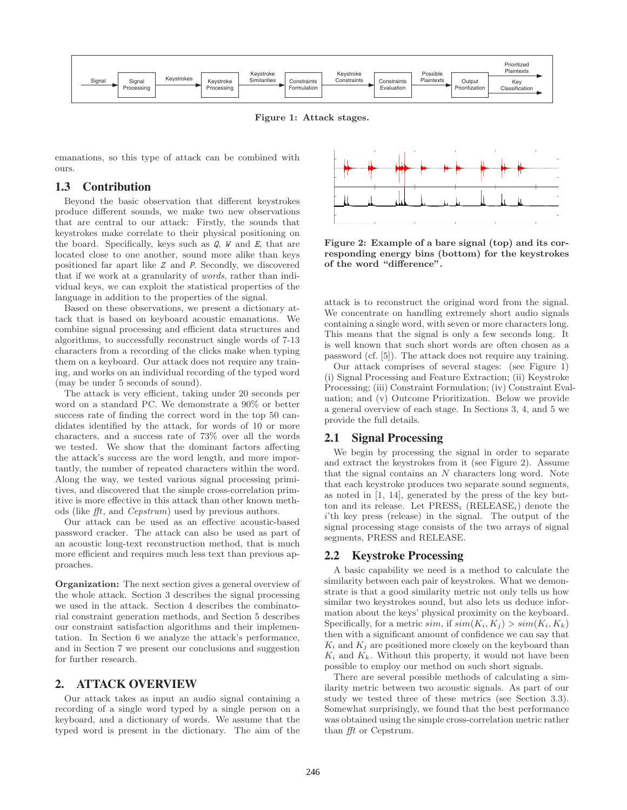

**Figure 1: Attack stages.**

emanations, so this type of attack can be combined with ours.

#### **1.3 Contribution**

Beyond the basic observation that different keystrokes produce different sounds, we make two new observations that are central to our attack: Firstly, the sounds that keystrokes make correlate to their physical positioning on the board. Specifically, keys such as *Q*, *W* and *E*, that are located close to one another, sound more alike than keys positioned far apart like *Z* and *P*. Secondly, we discovered that if we work at a granularity of words, rather than individual keys, we can exploit the statistical properties of the language in addition to the properties of the signal.

Based on these observations, we present a dictionary attack that is based on keyboard acoustic emanations. We combine signal processing and efficient data structures and algorithms, to successfully reconstruct single words of 7-13 characters from a recording of the clicks make when typing them on a keyboard. Our attack does not require any training, and works on an individual recording of the typed word (may be under 5 seconds of sound).

The attack is very efficient, taking under 20 seconds per word on a standard PC. We demonstrate a 90% or better success rate of finding the correct word in the top 50 candidates identified by the attack, for words of 10 or more characters, and a success rate of 73% over all the words we tested. We show that the dominant factors affecting the attack's success are the word length, and more importantly, the number of repeated characters within the word. Along the way, we tested various signal processing primitives, and discovered that the simple cross-correlation primitive is more effective in this attack than other known methods (like fft, and Cepstrum) used by previous authors.

Our attack can be used as an effective acoustic-based password cracker. The attack can also be used as part of an acoustic long-text reconstruction method, that is much more efficient and requires much less text than previous approaches.

**Organization:** The next section gives a general overview of the whole attack. Section 3 describes the signal processing we used in the attack. Section 4 describes the combinatorial constraint generation methods, and Section 5 describes our constraint satisfaction algorithms and their implementation. In Section 6 we analyze the attack's performance, and in Section 7 we present our conclusions and suggestion for further research.

### **2. ATTACK OVERVIEW**

Our attack takes as input an audio signal containing a recording of a single word typed by a single person on a keyboard, and a dictionary of words. We assume that the typed word is present in the dictionary. The aim of the



**Figure 2: Example of a bare signal (top) and its corresponding energy bins (bottom) for the keystrokes of the word "difference".**

attack is to reconstruct the original word from the signal. We concentrate on handling extremely short audio signals containing a single word, with seven or more characters long. This means that the signal is only a few seconds long. It is well known that such short words are often chosen as a password (cf. [5]). The attack does not require any training.

Our attack comprises of several stages: (see Figure 1) (i) Signal Processing and Feature Extraction; (ii) Keystroke Processing; (iii) Constraint Formulation; (iv) Constraint Evaluation; and (v) Outcome Prioritization. Below we provide a general overview of each stage. In Sections 3, 4, and 5 we provide the full details.

#### **2.1 Signal Processing**

We begin by processing the signal in order to separate and extract the keystrokes from it (see Figure 2). Assume that the signal contains an N characters long word. Note that each keystroke produces two separate sound segments, as noted in [1, 14], generated by the press of the key button and its release. Let PRESS*<sup>i</sup>* (RELEASE*i*) denote the i'th key press (release) in the signal. The output of the signal processing stage consists of the two arrays of signal segments, PRESS and RELEASE.

#### **2.2 Keystroke Processing**

A basic capability we need is a method to calculate the similarity between each pair of keystrokes. What we demonstrate is that a good similarity metric not only tells us how similar two keystrokes sound, but also lets us deduce information about the keys' physical proximity on the keyboard. Specifically, for a metric  $sim$ , if  $sim(K_i, K_j) > sim(K_i, K_k)$ then with a significant amount of confidence we can say that  $K_i$  and  $K_j$  are positioned more closely on the keyboard than  $K_i$  and  $K_k$ . Without this property, it would not have been possible to employ our method on such short signals.

There are several possible methods of calculating a similarity metric between two acoustic signals. As part of our study we tested three of these metrics (see Section 3.3). Somewhat surprisingly, we found that the best performance was obtained using the simple cross-correlation metric rather than fft or Cepstrum.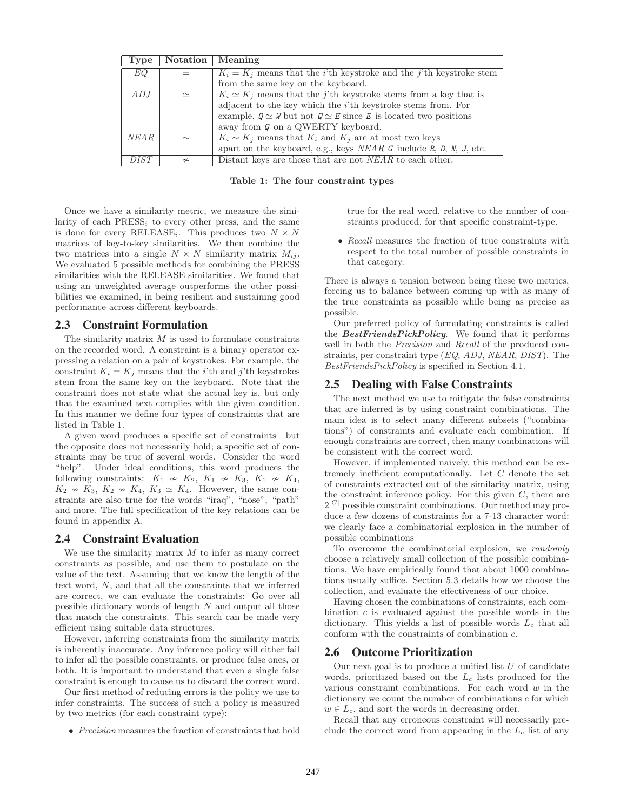| Type |        | Notation   Meaning                                                                    |
|------|--------|---------------------------------------------------------------------------------------|
| EQ   |        | $K_i = K_j$ means that the <i>i</i> 'th keystroke and the <i>j</i> 'th keystroke stem |
|      |        | from the same key on the keyboard.                                                    |
| ADJ  | $\sim$ | $K_i \simeq K_j$ means that the j'th keystroke stems from a key that is               |
|      |        | adjacent to the key which the $i$ 'th keystroke stems from. For                       |
|      |        | example, $Q \simeq W$ but not $Q \simeq E$ since E is located two positions           |
|      |        | away from $Q$ on a QWERTY keyboard.                                                   |
| NEAR | $\sim$ | $K_i \sim K_j$ means that $K_i$ and $K_j$ are at most two keys                        |
|      |        | apart on the keyboard, e.g., keys $NEAR$ $G$ include $R$ , $D$ , $N$ , $J$ , etc.     |
| DIST | $\sim$ | Distant keys are those that are not <i>NEAR</i> to each other.                        |

**Table 1: The four constraint types**

Once we have a similarity metric, we measure the similarity of each  $PRESS_i$  to every other press, and the same is done for every RELEASE<sub>i</sub>. This produces two  $N \times N$ matrices of key-to-key similarities. We then combine the two matrices into a single  $N \times N$  similarity matrix  $M_{ij}$ . We evaluated 5 possible methods for combining the PRESS similarities with the RELEASE similarities. We found that using an unweighted average outperforms the other possibilities we examined, in being resilient and sustaining good performance across different keyboards.

#### **2.3 Constraint Formulation**

The similarity matrix  $M$  is used to formulate constraints on the recorded word. A constraint is a binary operator expressing a relation on a pair of keystrokes. For example, the constraint  $K_i = K_j$  means that the *i*'th and *j*'th keystrokes stem from the same key on the keyboard. Note that the constraint does not state what the actual key is, but only that the examined text complies with the given condition. In this manner we define four types of constraints that are listed in Table 1.

A given word produces a specific set of constraints—but the opposite does not necessarily hold; a specific set of constraints may be true of several words. Consider the word "help". Under ideal conditions, this word produces the following constraints:  $K_1 \nsim K_2$ ,  $K_1 \nsim K_3$ ,  $K_1 \nsim K_4$ ,  $K_2 \nsim K_3$ ,  $K_2 \nsim K_4$ ,  $K_3 \simeq K_4$ . However, the same constraints are also true for the words "iraq", "nose", "path" and more. The full specification of the key relations can be found in appendix A.

#### **2.4 Constraint Evaluation**

We use the similarity matrix  $M$  to infer as many correct constraints as possible, and use them to postulate on the value of the text. Assuming that we know the length of the text word, N, and that all the constraints that we inferred are correct, we can evaluate the constraints: Go over all possible dictionary words of length N and output all those that match the constraints. This search can be made very efficient using suitable data structures.

However, inferring constraints from the similarity matrix is inherently inaccurate. Any inference policy will either fail to infer all the possible constraints, or produce false ones, or both. It is important to understand that even a single false constraint is enough to cause us to discard the correct word.

Our first method of reducing errors is the policy we use to infer constraints. The success of such a policy is measured by two metrics (for each constraint type):

• Precision measures the fraction of constraints that hold

true for the real word, relative to the number of constraints produced, for that specific constraint-type.

• Recall measures the fraction of true constraints with respect to the total number of possible constraints in that category.

There is always a tension between being these two metrics, forcing us to balance between coming up with as many of the true constraints as possible while being as precise as possible.

Our preferred policy of formulating constraints is called the *BestFriendsPickPolicy*. We found that it performs well in both the *Precision* and *Recall* of the produced constraints, per constraint type (EQ, ADJ, NEAR, DIST). The BestFriendsPickPolicy is specified in Section 4.1.

#### **2.5 Dealing with False Constraints**

The next method we use to mitigate the false constraints that are inferred is by using constraint combinations. The main idea is to select many different subsets ("combinations") of constraints and evaluate each combination. If enough constraints are correct, then many combinations will be consistent with the correct word.

However, if implemented naively, this method can be extremely inefficient computationally. Let C denote the set of constraints extracted out of the similarity matrix, using the constraint inference policy. For this given  $C$ , there are  $2^{|C|}$  possible constraint combinations. Our method may produce a few dozens of constraints for a 7-13 character word: we clearly face a combinatorial explosion in the number of possible combinations

To overcome the combinatorial explosion, we randomly choose a relatively small collection of the possible combinations. We have empirically found that about 1000 combinations usually suffice. Section 5.3 details how we choose the collection, and evaluate the effectiveness of our choice.

Having chosen the combinations of constraints, each combination  $c$  is evaluated against the possible words in the dictionary. This yields a list of possible words L*<sup>c</sup>* that all conform with the constraints of combination c.

# **2.6 Outcome Prioritization**

Our next goal is to produce a unified list  $U$  of candidate words, prioritized based on the L*<sup>c</sup>* lists produced for the various constraint combinations. For each word  $w$  in the dictionary we count the number of combinations c for which  $w \in L_c$ , and sort the words in decreasing order.

Recall that any erroneous constraint will necessarily preclude the correct word from appearing in the L*<sup>c</sup>* list of any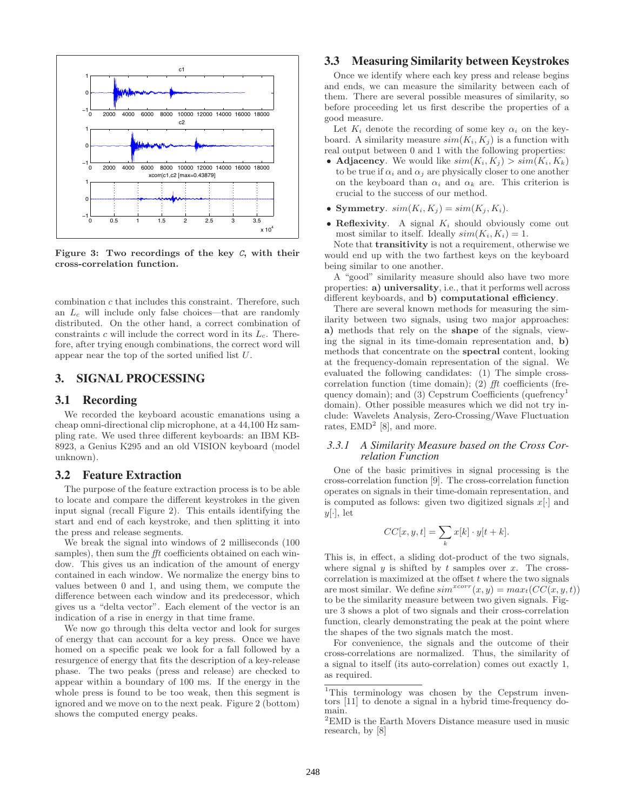

**Figure 3: Two recordings of the key** *C***, with their cross-correlation function.**

combination c that includes this constraint. Therefore, such an L*<sup>c</sup>* will include only false choices—that are randomly distributed. On the other hand, a correct combination of constraints c will include the correct word in its L*c*. Therefore, after trying enough combinations, the correct word will appear near the top of the sorted unified list U.

## **3. SIGNAL PROCESSING**

#### **3.1 Recording**

We recorded the keyboard acoustic emanations using a cheap omni-directional clip microphone, at a 44,100 Hz sampling rate. We used three different keyboards: an IBM KB-8923, a Genius K295 and an old VISION keyboard (model unknown).

#### **3.2 Feature Extraction**

The purpose of the feature extraction process is to be able to locate and compare the different keystrokes in the given input signal (recall Figure 2). This entails identifying the start and end of each keystroke, and then splitting it into the press and release segments.

We break the signal into windows of 2 milliseconds (100 samples), then sum the *fft* coefficients obtained on each window. This gives us an indication of the amount of energy contained in each window. We normalize the energy bins to values between 0 and 1, and using them, we compute the difference between each window and its predecessor, which gives us a "delta vector". Each element of the vector is an indication of a rise in energy in that time frame.

We now go through this delta vector and look for surges of energy that can account for a key press. Once we have homed on a specific peak we look for a fall followed by a resurgence of energy that fits the description of a key-release phase. The two peaks (press and release) are checked to appear within a boundary of 100 ms. If the energy in the whole press is found to be too weak, then this segment is ignored and we move on to the next peak. Figure 2 (bottom) shows the computed energy peaks.

### **3.3 Measuring Similarity between Keystrokes**

Once we identify where each key press and release begins and ends, we can measure the similarity between each of them. There are several possible measures of similarity, so before proceeding let us first describe the properties of a good measure.

Let  $K_i$  denote the recording of some key  $\alpha_i$  on the keyboard. A similarity measure  $sim(K_i, K_j)$  is a function with real output between 0 and 1 with the following properties:

- **Adjacency**. We would like  $sim(K_i, K_j) > sim(K_i, K_k)$ to be true if  $\alpha_i$  and  $\alpha_j$  are physically closer to one another on the keyboard than  $\alpha_i$  and  $\alpha_k$  are. This criterion is crucial to the success of our method.
- **Symmetry**.  $sim(K_i, K_j) = sim(K_j, K_i)$ .
- **Reflexivity**. A signal <sup>K</sup>*<sup>i</sup>* should obviously come out most similar to itself. Ideally  $sim(K_i, K_i) = 1$ .

Note that **transitivity** is not a requirement, otherwise we would end up with the two farthest keys on the keyboard being similar to one another.

A "good" similarity measure should also have two more properties: **a) universality**, i.e., that it performs well across different keyboards, and **b) computational efficiency**.

There are several known methods for measuring the similarity between two signals, using two major approaches: **a)** methods that rely on the **shape** of the signals, viewing the signal in its time-domain representation and, **b)** methods that concentrate on the **spectral** content, looking at the frequency-domain representation of the signal. We evaluated the following candidates: (1) The simple crosscorrelation function (time domain); (2) fft coefficients (frequency domain); and (3) Cepstrum Coefficients (quefrency<sup>1</sup> domain). Other possible measures which we did not try include: Wavelets Analysis, Zero-Crossing/Wave Fluctuation rates,  $EMD<sup>2</sup>$  [8], and more.

#### *3.3.1 A Similarity Measure based on the Cross Correlation Function*

One of the basic primitives in signal processing is the cross-correlation function [9]. The cross-correlation function operates on signals in their time-domain representation, and is computed as follows: given two digitized signals  $x[\cdot]$  and  $y[\cdot]$ , let

$$
CC[x, y, t] = \sum_{k} x[k] \cdot y[t+k].
$$

This is, in effect, a sliding dot-product of the two signals, where signal  $y$  is shifted by  $t$  samples over  $x$ . The crosscorrelation is maximized at the offset  $t$  where the two signals are most similar. We define  $sim^{xcorr}(x, y) = max_t(CC(x, y, t))$ to be the similarity measure between two given signals. Figure 3 shows a plot of two signals and their cross-correlation function, clearly demonstrating the peak at the point where the shapes of the two signals match the most.

For convenience, the signals and the outcome of their cross-correlations are normalized. Thus, the similarity of a signal to itself (its auto-correlation) comes out exactly 1, as required.

<sup>&</sup>lt;sup>1</sup>This terminology was chosen by the Cepstrum inventors [11] to denote a signal in a hybrid time-frequency domain.

<sup>2</sup>EMD is the Earth Movers Distance measure used in music research, by [8]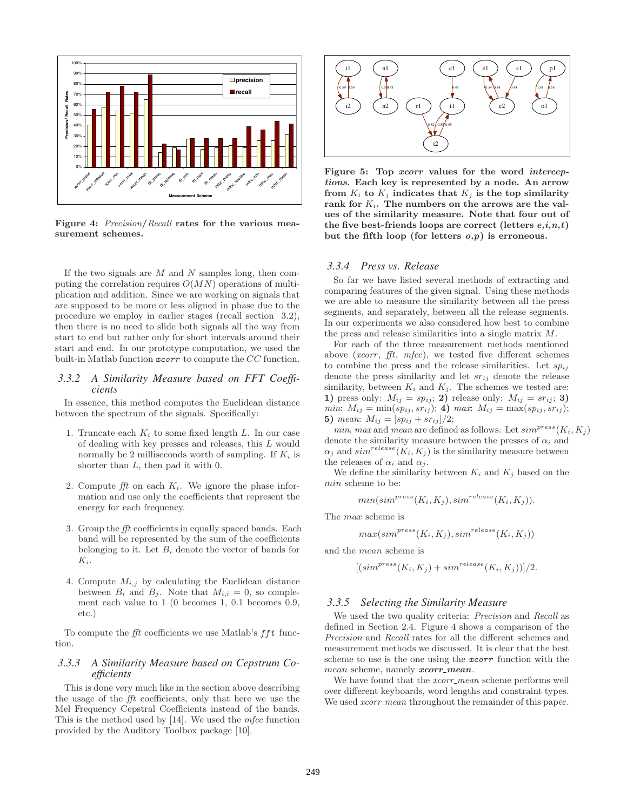

**Figure 4:** Precision**/**Recall **rates for the various measurement schemes.**

If the two signals are  $M$  and  $N$  samples long, then computing the correlation requires  $O(MN)$  operations of multiplication and addition. Since we are working on signals that are supposed to be more or less aligned in phase due to the procedure we employ in earlier stages (recall section 3.2), then there is no need to slide both signals all the way from start to end but rather only for short intervals around their start and end. In our prototype computation, we used the built-in Matlab function *xcorr* to compute the CC function.

#### *3.3.2 A Similarity Measure based on FFT Coefficients*

In essence, this method computes the Euclidean distance between the spectrum of the signals. Specifically:

- 1. Truncate each  $K_i$  to some fixed length  $L$ . In our case of dealing with key presses and releases, this L would normally be 2 milliseconds worth of sampling. If K*<sup>i</sup>* is shorter than L, then pad it with 0.
- 2. Compute  $\operatorname{fft}$  on each  $K_i$ . We ignore the phase information and use only the coefficients that represent the energy for each frequency.
- 3. Group the fft coefficients in equally spaced bands. Each band will be represented by the sum of the coefficients belonging to it. Let  $B_i$  denote the vector of bands for  $K_i$ .
- 4. Compute  $M_{i,j}$  by calculating the Euclidean distance between  $B_i$  and  $B_j$ . Note that  $M_{i,i} = 0$ , so complement each value to 1 (0 becomes 1, 0.1 becomes 0.9, etc.)

To compute the fft coefficients we use Matlab's *fft* function.

#### *3.3.3 A Similarity Measure based on Cepstrum Coefficients*

This is done very much like in the section above describing the usage of the fft coefficients, only that here we use the Mel Frequency Cepstral Coefficients instead of the bands. This is the method used by  $[14]$ . We used the *mfcc* function provided by the Auditory Toolbox package [10].



**Figure 5: Top** *xcorr* **values for the word** *interceptions***. Each key is represented by a node. An arrow from**  $K_i$  **to**  $K_j$  **indicates that**  $K_j$  **is the top similarity rank for** K*i***. The numbers on the arrows are the values of the similarity measure. Note that four out of the five best-friends loops are correct (letters** *e,i,n,t***) but the fifth loop (for letters** *o,p***) is erroneous.**

#### *3.3.4 Press vs. Release*

So far we have listed several methods of extracting and comparing features of the given signal. Using these methods we are able to measure the similarity between all the press segments, and separately, between all the release segments. In our experiments we also considered how best to combine the press and release similarities into a single matrix M.

For each of the three measurement methods mentioned above  $(xcorr, fft, mfcc)$ , we tested five different schemes to combine the press and the release similarities. Let  $sp_{ij}$ denote the press similarity and let sr*ij* denote the release similarity, between  $K_i$  and  $K_j$ . The schemes we tested are: **1)** press only:  $M_{ij} = sp_{ij}$ ; **2)** release only:  $M_{ij} = sr_{ij}$ ; **3)**  $min: M_{ij} = min(sp_{ij}, s r_{ij})$ ; 4)  $max: M_{ij} = max(sp_{ij}, s r_{ij})$ ; **5)** mean:  $M_{ij} = [sp_{ij} + sr_{ij}]/2;$ 

min, max and mean are defined as follows: Let  $sim^{press}(K_i, K_j)$ denote the similarity measure between the presses of  $\alpha_i$  and  $\alpha_j$  and  $sim^{release}(\tilde{K}_i, K_j)$  is the similarity measure between the releases of  $\alpha_i$  and  $\alpha_j$ .

We define the similarity between  $K_i$  and  $K_j$  based on the min scheme to be:

$$
min(sim^{press}(K_i, K_j), sim^{release}(K_i, K_j)).
$$

The max scheme is

$$
max(sim^{press}(K_i, K_j), sim^{release}(K_i, K_j))
$$

and the mean scheme is

$$
[(sim^{press}(K_i, K_j) + sim^{release}(K_i, K_j))]/2.
$$

#### *3.3.5 Selecting the Similarity Measure*

We used the two quality criteria: *Precision* and *Recall* as defined in Section 2.4. Figure 4 shows a comparison of the Precision and Recall rates for all the different schemes and measurement methods we discussed. It is clear that the best scheme to use is the one using the *xcorr* function with the mean scheme, namely *xcorr mean*.

We have found that the *xcorr\_mean* scheme performs well over different keyboards, word lengths and constraint types. We used *xcorr mean* throughout the remainder of this paper.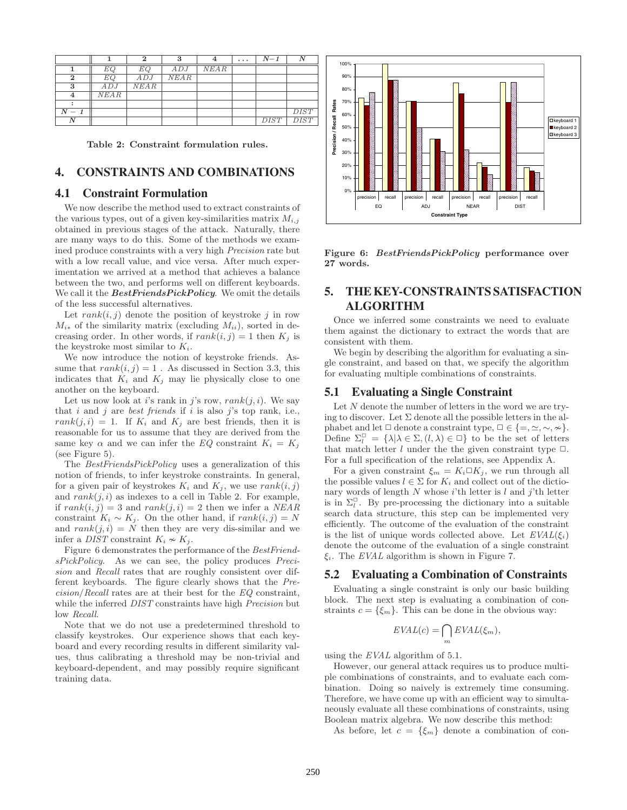|   |      |      | Ð           |                   | $\cdots$ | $N\!-\!1$ |       |
|---|------|------|-------------|-------------------|----------|-----------|-------|
|   | ЕC   | ЕÇ   | ADJ         | $\overline{NE}AR$ |          |           |       |
| ິ | F.C  | ADJ  | <b>NEAR</b> |                   |          |           |       |
| € |      | NEAR |             |                   |          |           |       |
|   | NEAR |      |             |                   |          |           |       |
|   |      |      |             |                   |          |           |       |
|   |      |      |             |                   |          |           | DIS'. |
|   |      |      |             |                   |          | DIST      |       |

**Table 2: Constraint formulation rules.**

# **4. CONSTRAINTS AND COMBINATIONS**

# **4.1 Constraint Formulation**

We now describe the method used to extract constraints of the various types, out of a given key-similarities matrix  $M_{i,j}$ obtained in previous stages of the attack. Naturally, there are many ways to do this. Some of the methods we examined produce constraints with a very high Precision rate but with a low recall value, and vice versa. After much experimentation we arrived at a method that achieves a balance between the two, and performs well on different keyboards. We call it the *BestFriendsPickPolicy*. We omit the details of the less successful alternatives.

Let  $rank(i, j)$  denote the position of keystroke j in row  $M_{i*}$  of the similarity matrix (excluding  $M_{ii}$ ), sorted in decreasing order. In other words, if  $rank(i, j) = 1$  then  $K_j$  is the keystroke most similar to K*i*.

We now introduce the notion of keystroke friends. Assume that  $rank(i, j) = 1$ . As discussed in Section 3.3, this indicates that  $K_i$  and  $K_j$  may lie physically close to one another on the keyboard.

Let us now look at i's rank in j's row,  $rank(j, i)$ . We say that  $i$  and  $j$  are *best friends* if  $i$  is also  $j$ 's top rank, i.e.,  $rank(j, i) = 1$ . If  $K_i$  and  $K_j$  are best friends, then it is reasonable for us to assume that they are derived from the same key  $\alpha$  and we can infer the EQ constraint  $K_i = K_j$ (see Figure 5).

The BestFriendsPickPolicy uses a generalization of this notion of friends, to infer keystroke constraints. In general, for a given pair of keystrokes  $K_i$  and  $K_j$ , we use  $rank(i, j)$ and  $rank(j, i)$  as indexes to a cell in Table 2. For example, if  $rank(i, j) = 3$  and  $rank(j, i) = 2$  then we infer a *NEAR* constraint  $K_i \sim K_j$ . On the other hand, if  $rank(i, j) = N$ and  $rank(j, i) = N$  then they are very dis-similar and we infer a  $\overrightarrow{DIST}$  constraint  $K_i \sim K_j$ .

Figure 6 demonstrates the performance of the BestFriendsPickPolicy. As we can see, the policy produces Precision and Recall rates that are roughly consistent over different keyboards. The figure clearly shows that the Precision/Recall rates are at their best for the EQ constraint, while the inferred  $DIST$  constraints have high *Precision* but low Recall.

Note that we do not use a predetermined threshold to classify keystrokes. Our experience shows that each keyboard and every recording results in different similarity values, thus calibrating a threshold may be non-trivial and keyboard-dependent, and may possibly require significant training data.



**Figure 6:** *BestFriendsPickPolicy* **performance over 27 words.**

# **5. THE KEY-CONSTRAINTS SATISFACTION ALGORITHM**

Once we inferred some constraints we need to evaluate them against the dictionary to extract the words that are consistent with them.

We begin by describing the algorithm for evaluating a single constraint, and based on that, we specify the algorithm for evaluating multiple combinations of constraints.

# **5.1 Evaluating a Single Constraint**

Let N denote the number of letters in the word we are trying to discover. Let  $\Sigma$  denote all the possible letters in the alphabet and let  $\Box$  denote a constraint type,  $\Box \in \{ =, \simeq, \sim, \sim \}.$ Define  $\Sigma_l^{\square} = {\lambda | \lambda \in \Sigma, (l, \lambda) \in \square}$  to be the set of letters that match letter  $l$  under the the given constraint type  $\Box$ . For a full specification of the relations, see Appendix A.

For a given constraint  $\xi_m = K_i \square K_j$ , we run through all the possible values  $l \in \Sigma$  for  $K_i$  and collect out of the dictionary words of length  $N$  whose  $i$ 'th letter is  $l$  and  $j$ 'th letter is in  $\Sigma_l^{\square}$ . By pre-processing the dictionary into a suitable search data structure, this step can be implemented very efficiently. The outcome of the evaluation of the constraint is the list of unique words collected above. Let  $EVAL(\xi_i)$ denote the outcome of the evaluation of a single constraint ξ*i*. The EVAL algorithm is shown in Figure 7.

# **5.2 Evaluating a Combination of Constraints**

Evaluating a single constraint is only our basic building block. The next step is evaluating a combination of constraints  $c = \{\xi_m\}$ . This can be done in the obvious way:

$$
EVAL(c) = \bigcap_{m} EVAL(\xi_m),
$$

using the EVAL algorithm of 5.1.

However, our general attack requires us to produce multiple combinations of constraints, and to evaluate each combination. Doing so naively is extremely time consuming. Therefore, we have come up with an efficient way to simultaneously evaluate all these combinations of constraints, using Boolean matrix algebra. We now describe this method:

As before, let  $c = \{\xi_m\}$  denote a combination of con-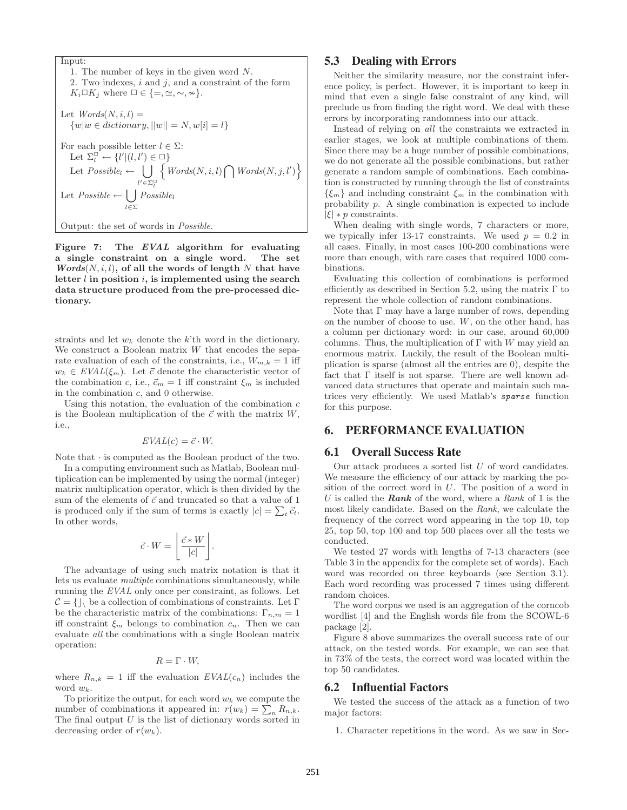Input: 1. The number of keys in the given word N. 2. Two indexes,  $i$  and  $j$ , and a constraint of the form  $K_i \square K_j$  where  $\square \in \{ =, \simeq, \sim, \sim \}$ . Let  $Words(N, i, l) =$  $\{w|w \in dictionary, ||w|| = N, w[i] = l\}$ For each possible letter  $l \in \Sigma$ : Let  $\Sigma_l^{\square} \leftarrow \{l' | (l, l') \in \square \}$ Let  $Possible_l \leftarrow \bigcup_{l' \in \Sigma_l^{\square}}$  $\{Words(N, i, l) \cap Words(N, j, l')\}$ Let  $\textit{Possible} \leftarrow \bigcup$ *l*∈Σ Possible*<sup>l</sup>* Output: the set of words in Possible.

**Figure 7: The** *EVAL* **algorithm for evaluating a single constraint on a single word. The set** *Words* $(N, i, l)$ , of all the words of length N that have **letter** l **in position** i**, is implemented using the search data structure produced from the pre-processed dictionary.**

straints and let w*<sup>k</sup>* denote the k'th word in the dictionary. We construct a Boolean matrix  $W$  that encodes the separate evaluation of each of the constraints, i.e.,  $W_{m,k} = 1$  iff  $w_k \in EVAL(\xi_m)$ . Let  $\vec{c}$  denote the characteristic vector of the combination c, i.e.,  $\vec{c}_m = 1$  iff constraint  $\xi_m$  is included in the combination  $c$ , and  $0$  otherwise.

Using this notation, the evaluation of the combination  $c$ is the Boolean multiplication of the  $\vec{c}$  with the matrix  $W$ , i.e.,

$$
EVAL(c) = \vec{c} \cdot W.
$$

Note that  $\cdot$  is computed as the Boolean product of the two.

In a computing environment such as Matlab, Boolean multiplication can be implemented by using the normal (integer) matrix multiplication operator, which is then divided by the sum of the elements of  $\vec{c}$  and truncated so that a value of 1 is produced only if the sum of terms is exactly  $|c| = \sum_t \vec{c}_t$ . In other words,

$$
\vec{c} \cdot W = \left[ \frac{\vec{c} * W}{|c|} \right].
$$

The advantage of using such matrix notation is that it lets us evaluate multiple combinations simultaneously, while running the EVAL only once per constraint, as follows. Let  $C = \{\,|\,\rangle\}$  be a collection of combinations of constraints. Let Γ be the characteristic matrix of the combinations:  $\Gamma_{n,m} = 1$ iff constraint  $\xi_m$  belongs to combination  $c_n$ . Then we can evaluate all the combinations with a single Boolean matrix operation:

$$
R = \Gamma \cdot W,
$$

where  $R_{n,k} = 1$  iff the evaluation  $EVAL(c_n)$  includes the word w*k*.

To prioritize the output, for each word  $w_k$  we compute the number of combinations it appeared in:  $r(w_k) = \sum_n R_{n,k}$ . The final output  $U$  is the list of dictionary words sorted in decreasing order of  $r(w_k)$ .

### **5.3 Dealing with Errors**

Neither the similarity measure, nor the constraint inference policy, is perfect. However, it is important to keep in mind that even a single false constraint of any kind, will preclude us from finding the right word. We deal with these errors by incorporating randomness into our attack.

Instead of relying on all the constraints we extracted in earlier stages, we look at multiple combinations of them. Since there may be a huge number of possible combinations, we do not generate all the possible combinations, but rather generate a random sample of combinations. Each combination is constructed by running through the list of constraints  $\{\xi_m\}$  and including constraint  $\xi_m$  in the combination with probability p. A single combination is expected to include  $|\xi| * p$  constraints.

When dealing with single words, 7 characters or more, we typically infer 13-17 constraints. We used  $p = 0.2$  in all cases. Finally, in most cases 100-200 combinations were more than enough, with rare cases that required 1000 combinations.

Evaluating this collection of combinations is performed efficiently as described in Section 5.2, using the matrix  $\Gamma$  to represent the whole collection of random combinations.

Note that  $\Gamma$  may have a large number of rows, depending on the number of choose to use. W, on the other hand, has a column per dictionary word: in our case, around 60,000 columns. Thus, the multiplication of  $\Gamma$  with W may yield an enormous matrix. Luckily, the result of the Boolean multiplication is sparse (almost all the entries are 0), despite the fact that Γ itself is not sparse. There are well known advanced data structures that operate and maintain such matrices very efficiently. We used Matlab's *sparse* function for this purpose.

# **6. PERFORMANCE EVALUATION**

#### **6.1 Overall Success Rate**

Our attack produces a sorted list  $U$  of word candidates. We measure the efficiency of our attack by marking the position of the correct word in U. The position of a word in U is called the *Rank* of the word, where a Rank of 1 is the most likely candidate. Based on the Rank, we calculate the frequency of the correct word appearing in the top 10, top 25, top 50, top 100 and top 500 places over all the tests we conducted.

We tested 27 words with lengths of 7-13 characters (see Table 3 in the appendix for the complete set of words). Each word was recorded on three keyboards (see Section 3.1). Each word recording was processed 7 times using different random choices.

The word corpus we used is an aggregation of the corncob wordlist [4] and the English words file from the SCOWL-6 package [2].

Figure 8 above summarizes the overall success rate of our attack, on the tested words. For example, we can see that in 73% of the tests, the correct word was located within the top 50 candidates.

#### **6.2 Influential Factors**

We tested the success of the attack as a function of two major factors:

1. Character repetitions in the word. As we saw in Sec-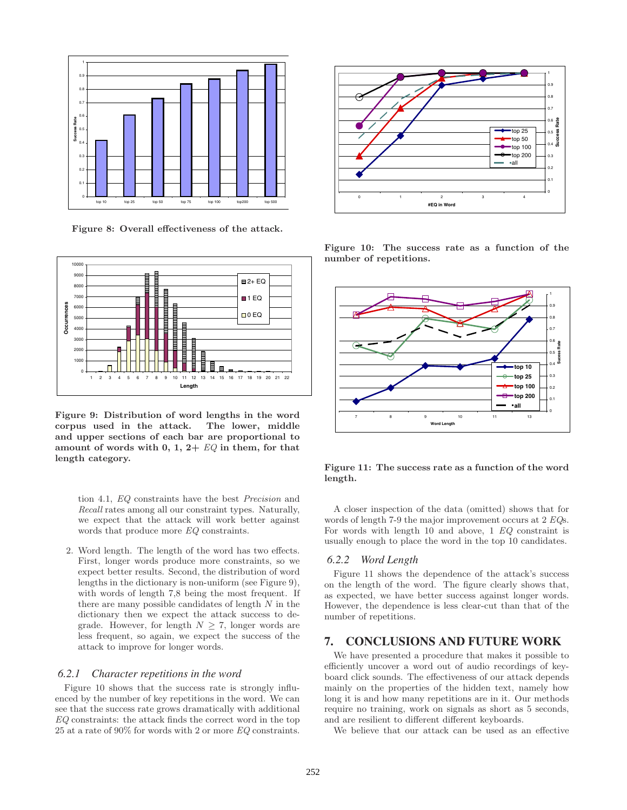

**Figure 8: Overall effectiveness of the attack.**



**Figure 9: Distribution of word lengths in the word corpus used in the attack. The lower, middle and upper sections of each bar are proportional to amount of words with 0, 1, 2+** EQ **in them, for that length category.**

tion 4.1, EQ constraints have the best Precision and Recall rates among all our constraint types. Naturally, we expect that the attack will work better against words that produce more EQ constraints.

2. Word length. The length of the word has two effects. First, longer words produce more constraints, so we expect better results. Second, the distribution of word lengths in the dictionary is non-uniform (see Figure 9), with words of length 7,8 being the most frequent. If there are many possible candidates of length  $N$  in the dictionary then we expect the attack success to degrade. However, for length  $N \geq 7$ , longer words are less frequent, so again, we expect the success of the attack to improve for longer words.

#### *6.2.1 Character repetitions in the word*

Figure 10 shows that the success rate is strongly influenced by the number of key repetitions in the word. We can see that the success rate grows dramatically with additional EQ constraints: the attack finds the correct word in the top 25 at a rate of 90% for words with 2 or more EQ constraints.



**Figure 10: The success rate as a function of the number of repetitions.**



**Figure 11: The success rate as a function of the word length.**

A closer inspection of the data (omitted) shows that for words of length 7-9 the major improvement occurs at 2 EQs. For words with length 10 and above, 1 EQ constraint is usually enough to place the word in the top 10 candidates.

#### *6.2.2 Word Length*

Figure 11 shows the dependence of the attack's success on the length of the word. The figure clearly shows that, as expected, we have better success against longer words. However, the dependence is less clear-cut than that of the number of repetitions.

### **7. CONCLUSIONS AND FUTURE WORK**

We have presented a procedure that makes it possible to efficiently uncover a word out of audio recordings of keyboard click sounds. The effectiveness of our attack depends mainly on the properties of the hidden text, namely how long it is and how many repetitions are in it. Our methods require no training, work on signals as short as 5 seconds, and are resilient to different different keyboards.

We believe that our attack can be used as an effective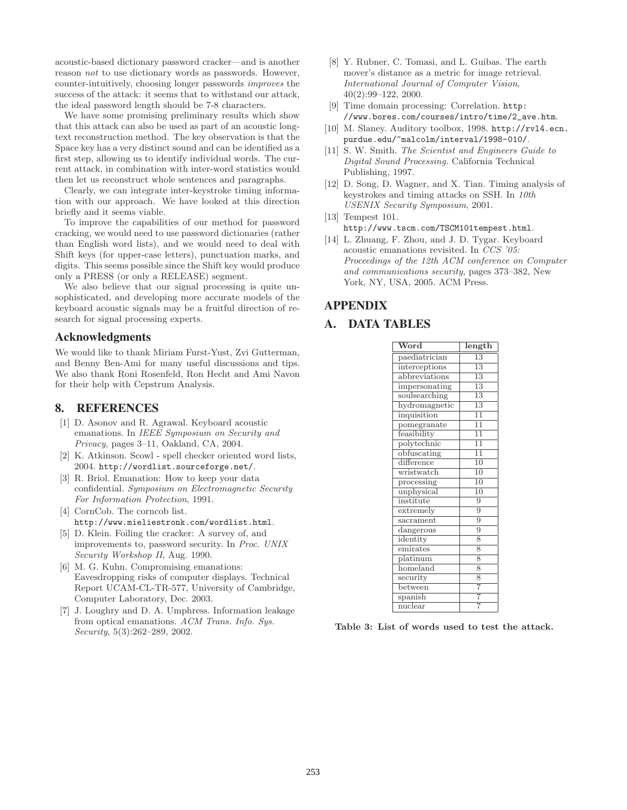acoustic-based dictionary password cracker—and is another reason not to use dictionary words as passwords. However, counter-intuitively, choosing longer passwords improves the success of the attack: it seems that to withstand our attack, the ideal password length should be 7-8 characters.

We have some promising preliminary results which show that this attack can also be used as part of an acoustic longtext reconstruction method. The key observation is that the Space key has a very distinct sound and can be identified as a first step, allowing us to identify individual words. The current attack, in combination with inter-word statistics would then let us reconstruct whole sentences and paragraphs.

Clearly, we can integrate inter-keystroke timing information with our approach. We have looked at this direction briefly and it seems viable.

To improve the capabilities of our method for password cracking, we would need to use password dictionaries (rather than English word lists), and we would need to deal with Shift keys (for upper-case letters), punctuation marks, and digits. This seems possible since the Shift key would produce only a PRESS (or only a RELEASE) segment.

We also believe that our signal processing is quite unsophisticated, and developing more accurate models of the keyboard acoustic signals may be a fruitful direction of research for signal processing experts.

#### **Acknowledgments**

We would like to thank Miriam Furst-Yust, Zvi Gutterman, and Benny Ben-Ami for many useful discussions and tips. We also thank Roni Rosenfeld, Ron Hecht and Ami Navon for their help with Cepstrum Analysis.

### **8. REFERENCES**

- [1] D. Asonov and R. Agrawal. Keyboard acoustic emanations. In IEEE Symposium on Security and Privacy, pages 3–11, Oakland, CA, 2004.
- [2] K. Atkinson. Scowl spell checker oriented word lists, 2004. http://wordlist.sourceforge.net/.
- [3] R. Briol. Emanation: How to keep your data confidential. Symposium on Electromagnetic Security For Information Protection, 1991.
- [4] CornCob. The corncob list. http://www.mieliestronk.com/wordlist.html.
- [5] D. Klein. Foiling the cracker: A survey of, and improvements to, password security. In Proc. UNIX Security Workshop II, Aug. 1990.
- [6] M. G. Kuhn. Compromising emanations: Eavesdropping risks of computer displays. Technical Report UCAM-CL-TR-577, University of Cambridge, Computer Laboratory, Dec. 2003.
- [7] J. Loughry and D. A. Umphress. Information leakage from optical emanations. ACM Trans. Info. Sys. Security, 5(3):262–289, 2002.
- [8] Y. Rubner, C. Tomasi, and L. Guibas. The earth mover's distance as a metric for image retrieval. International Journal of Computer Vision, 40(2):99–122, 2000.
- [9] Time domain processing: Correlation. http: //www.bores.com/courses/intro/time/2\_ave.htm.
- [10] M. Slaney. Auditory toolbox, 1998. http://rvl4.ecn. purdue.edu/~malcolm/interval/1998-010/.
- [11] S. W. Smith. The Scientist and Engineers Guide to Digital Sound Processing. California Technical Publishing, 1997.
- [12] D. Song, D. Wagner, and X. Tian. Timing analysis of keystrokes and timing attacks on SSH. In 10th USENIX Security Symposium, 2001.
- [13] Tempest 101.
- http://www.tscm.com/TSCM101tempest.html.
- [14] L. Zhuang, F. Zhou, and J. D. Tygar. Keyboard acoustic emanations revisited. In CCS '05: Proceedings of the 12th ACM conference on Computer and communications security, pages 373–382, New York, NY, USA, 2005. ACM Press.

# **APPENDIX**

# **A. DATA TABLES**

| $\operatorname{Word}$ | length          |  |  |
|-----------------------|-----------------|--|--|
| paediatrician         | 13              |  |  |
| interceptions         | 13              |  |  |
| abbreviations         | 13              |  |  |
| impersonating         | $\overline{13}$ |  |  |
| soulsearching         | 13              |  |  |
| hydromagnetic         | 13              |  |  |
| inquisition           | $\overline{11}$ |  |  |
| pomegranate           | $\overline{11}$ |  |  |
| feasibility           | $\overline{11}$ |  |  |
| polytechnic           | $\overline{11}$ |  |  |
| obfuscating           | 11              |  |  |
| difference            | $\overline{10}$ |  |  |
| wristwatch            | 10              |  |  |
| processing            | 10              |  |  |
| unphysical            | $\overline{10}$ |  |  |
| institute             | 9               |  |  |
| extremely             | $\overline{9}$  |  |  |
| sacrament             | 9               |  |  |
| dangerous             | $\overline{9}$  |  |  |
| identity              | 8               |  |  |
| emirates              | 8               |  |  |
| platinum              | 8               |  |  |
| homeland              | 8               |  |  |
| security              | 8               |  |  |
| between               | 7               |  |  |
| spanish               |                 |  |  |
| nuclear               |                 |  |  |

**Table 3: List of words used to test the attack.**